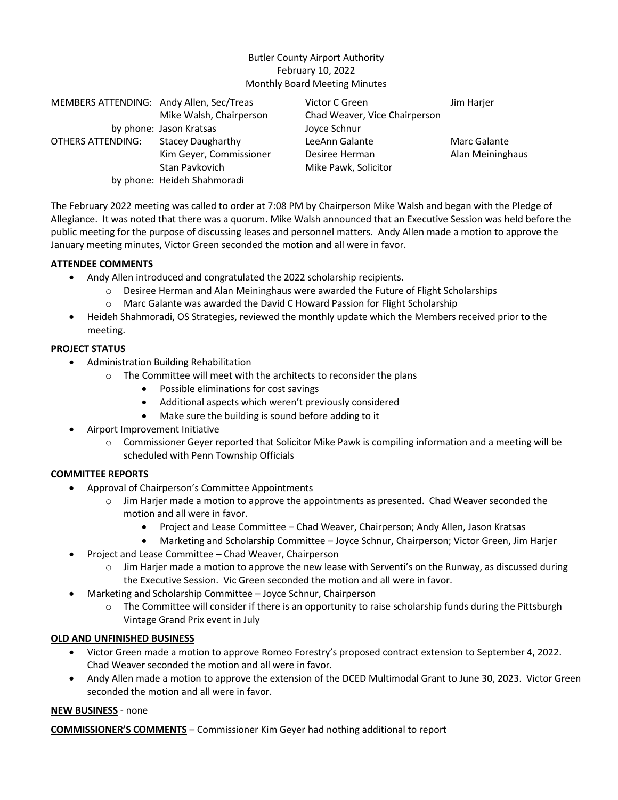# Butler County Airport Authority February 10, 2022 Monthly Board Meeting Minutes

| MEMBERS ATTENDING: Andy Allen, Sec/Treas |                             | Victor C Green                | Jim Harjer       |
|------------------------------------------|-----------------------------|-------------------------------|------------------|
|                                          | Mike Walsh, Chairperson     | Chad Weaver, Vice Chairperson |                  |
|                                          | by phone: Jason Kratsas     | Joyce Schnur                  |                  |
| OTHERS ATTENDING:                        | <b>Stacey Daugharthy</b>    | LeeAnn Galante                | Marc Galante     |
|                                          | Kim Geyer, Commissioner     | Desiree Herman                | Alan Meininghaus |
|                                          | Stan Pavkovich              | Mike Pawk, Solicitor          |                  |
|                                          | by phone: Heideh Shahmoradi |                               |                  |

The February 2022 meeting was called to order at 7:08 PM by Chairperson Mike Walsh and began with the Pledge of Allegiance. It was noted that there was a quorum. Mike Walsh announced that an Executive Session was held before the public meeting for the purpose of discussing leases and personnel matters. Andy Allen made a motion to approve the January meeting minutes, Victor Green seconded the motion and all were in favor.

#### **ATTENDEE COMMENTS**

- Andy Allen introduced and congratulated the 2022 scholarship recipients.
	- $\circ$  Desiree Herman and Alan Meininghaus were awarded the Future of Flight Scholarships
	- o Marc Galante was awarded the David C Howard Passion for Flight Scholarship
- Heideh Shahmoradi, OS Strategies, reviewed the monthly update which the Members received prior to the meeting.

#### **PROJECT STATUS**

- Administration Building Rehabilitation
	- o The Committee will meet with the architects to reconsider the plans
		- Possible eliminations for cost savings
		- Additional aspects which weren't previously considered
		- Make sure the building is sound before adding to it
- Airport Improvement Initiative
	- $\circ$  Commissioner Gever reported that Solicitor Mike Pawk is compiling information and a meeting will be scheduled with Penn Township Officials

## **COMMITTEE REPORTS**

- Approval of Chairperson's Committee Appointments
	- $\circ$  Jim Harjer made a motion to approve the appointments as presented. Chad Weaver seconded the motion and all were in favor.
		- Project and Lease Committee Chad Weaver, Chairperson; Andy Allen, Jason Kratsas
		- Marketing and Scholarship Committee Joyce Schnur, Chairperson; Victor Green, Jim Harjer
- Project and Lease Committee Chad Weaver, Chairperson
	- $\circ$  Jim Harjer made a motion to approve the new lease with Serventi's on the Runway, as discussed during the Executive Session. Vic Green seconded the motion and all were in favor.
- Marketing and Scholarship Committee Joyce Schnur, Chairperson
	- $\circ$  The Committee will consider if there is an opportunity to raise scholarship funds during the Pittsburgh Vintage Grand Prix event in July

## **OLD AND UNFINISHED BUSINESS**

- Victor Green made a motion to approve Romeo Forestry's proposed contract extension to September 4, 2022. Chad Weaver seconded the motion and all were in favor.
- Andy Allen made a motion to approve the extension of the DCED Multimodal Grant to June 30, 2023. Victor Green seconded the motion and all were in favor.

## **NEW BUSINESS** - none

**COMMISSIONER'S COMMENTS** – Commissioner Kim Geyer had nothing additional to report